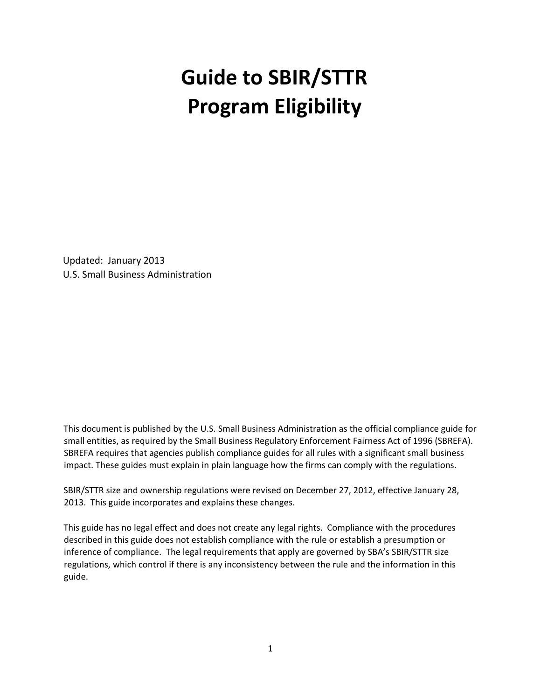# **Guide to SBIR/STTR Program Eligibility**

Updated: January 2013 U.S. Small Business Administration

This document is published by the U.S. Small Business Administration as the official compliance guide for small entities, as required by the Small Business Regulatory Enforcement Fairness Act of 1996 (SBREFA). SBREFA requires that agencies publish compliance guides for all rules with a significant small business impact. These guides must explain in plain language how the firms can comply with the regulations.

SBIR/STTR size and ownership regulations were revised on December 27, 2012, effective January 28, 2013. This guide incorporates and explains these changes.

This guide has no legal effect and does not create any legal rights. Compliance with the procedures described in this guide does not establish compliance with the rule or establish a presumption or inference of compliance. The legal requirements that apply are governed by SBA's SBIR/STTR size regulations, which control if there is any inconsistency between the rule and the information in this guide.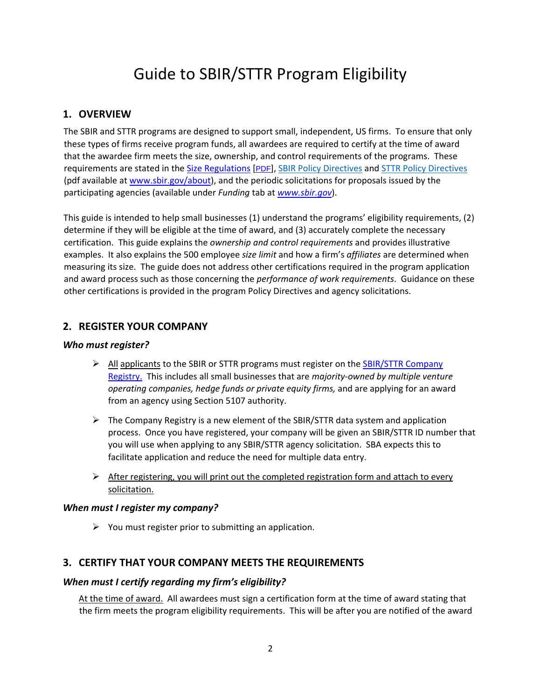# Guide to SBIR/STTR Program Eligibility

# **1. OVERVIEW**

The SBIR and STTR programs are designed to support small, independent, US firms. To ensure that only these types of firms receive program funds, all awardees are required to certify at the time of award that the awardee firm meets the size, ownership, and control requirements of the programs. These requirements are stated in the Size Regulations [PDF], SBIR Policy Directives and STTR Policy Directives (pdf available at www.sbir.gov/about), and the periodic solicitations for proposals issued by the participating agencies (available under *Funding* tab at *www.sbir.gov*).

This guide is intended to help small businesses (1) understand the programs' eligibility requirements, (2) determine if they will be eligible at the time of award, and (3) accurately complete the necessary certification. This guide explains the *ownership and control requirements* and provides illustrative examples. It also explains the 500 employee *size limit* and how a firm's *affiliates* are determined when measuring its size. The guide does not address other certifications required in the program application and award process such as those concerning the *performance of work requirements*. Guidance on these other certifications is provided in the program Policy Directives and agency solicitations.

# **2. REGISTER YOUR COMPANY**

#### *Who must register?*

- $\triangleright$  All applicants to the SBIR or STTR programs must register on the SBIR/STTR Company Registry. This includes all small businesses that are *majority‐owned by multiple venture operating companies, hedge funds or private equity firms,* and are applying for an award from an agency using Section 5107 authority.
- $\triangleright$  The Company Registry is a new element of the SBIR/STTR data system and application process. Once you have registered, your company will be given an SBIR/STTR ID number that you will use when applying to any SBIR/STTR agency solicitation. SBA expects this to facilitate application and reduce the need for multiple data entry.
- $\triangleright$  After registering, you will print out the completed registration form and attach to every solicitation.

#### *When must I register my company?*

 $\triangleright$  You must register prior to submitting an application.

## **3. CERTIFY THAT YOUR COMPANY MEETS THE REQUIREMENTS**

#### *When must I certify regarding my firm's eligibility?*

At the time of award. All awardees must sign a certification form at the time of award stating that the firm meets the program eligibility requirements. This will be after you are notified of the award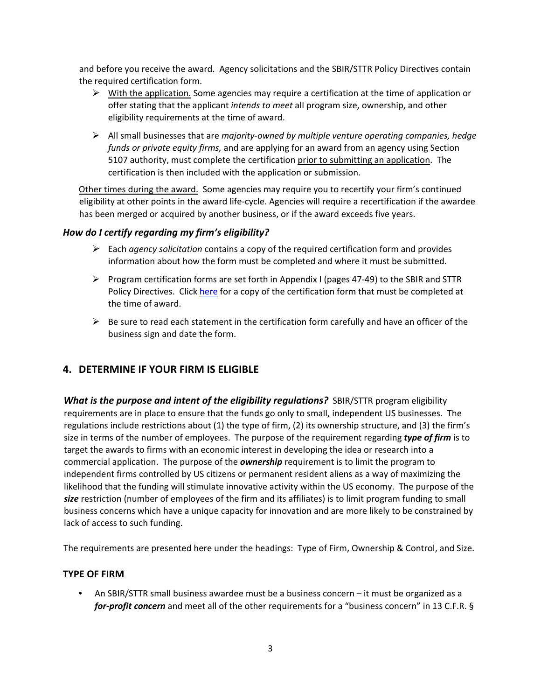and before you receive the award. Agency solicitations and the SBIR/STTR Policy Directives contain the required certification form.

- $\triangleright$  With the application. Some agencies may require a certification at the time of application or offer stating that the applicant *intends to meet* all program size, ownership, and other eligibility requirements at the time of award.
- All small businesses that are *majority‐owned by multiple venture operating companies, hedge funds or private equity firms,* and are applying for an award from an agency using Section 5107 authority, must complete the certification prior to submitting an application. The certification is then included with the application or submission.

Other times during the award. Some agencies may require you to recertify your firm's continued eligibility at other points in the award life‐cycle. Agencies will require a recertification if the awardee has been merged or acquired by another business, or if the award exceeds five years.

#### *How do I certify regarding my firm's eligibility?*

- Each *agency solicitation* contains a copy of the required certification form and provides information about how the form must be completed and where it must be submitted.
- Program certification forms are set forth in Appendix I (pages 47-49) to the SBIR and STTR Policy Directives. Click here for a copy of the certification form that must be completed at the time of award.
- $\triangleright$  Be sure to read each statement in the certification form carefully and have an officer of the business sign and date the form.

# **4. DETERMINE IF YOUR FIRM IS ELIGIBLE**

*What is the purpose and intent of the eligibility regulations?* SBIR/STTR program eligibility requirements are in place to ensure that the funds go only to small, independent US businesses. The regulations include restrictions about (1) the type of firm, (2) its ownership structure, and (3) the firm's size in terms of the number of employees. The purpose of the requirement regarding *type of firm* is to target the awards to firms with an economic interest in developing the idea or research into a commercial application. The purpose of the *ownership* requirement is to limit the program to independent firms controlled by US citizens or permanent resident aliens as a way of maximizing the likelihood that the funding will stimulate innovative activity within the US economy. The purpose of the *size* restriction (number of employees of the firm and its affiliates) is to limit program funding to small business concerns which have a unique capacity for innovation and are more likely to be constrained by lack of access to such funding.

The requirements are presented here under the headings: Type of Firm, Ownership & Control, and Size.

#### **TYPE OF FIRM**

• An SBIR/STTR small business awardee must be a business concern – it must be organized as a *for‐profit concern* and meet all of the other requirements for a "business concern" in 13 C.F.R. §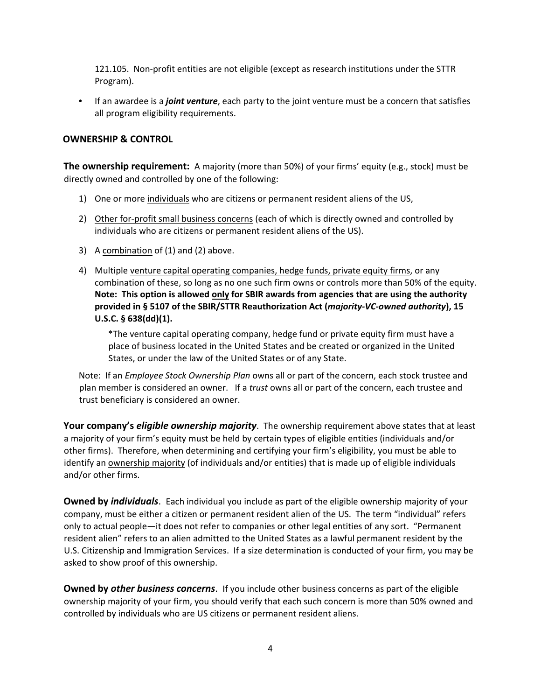121.105. Non‐profit entities are not eligible (except as research institutions under the STTR Program).

• If an awardee is a *joint venture*, each party to the joint venture must be a concern that satisfies all program eligibility requirements.

#### **OWNERSHIP & CONTROL**

**The ownership requirement:** A majority (more than 50%) of your firms' equity (e.g., stock) must be directly owned and controlled by one of the following:

- 1) One or more individuals who are citizens or permanent resident aliens of the US,
- 2) Other for-profit small business concerns (each of which is directly owned and controlled by individuals who are citizens or permanent resident aliens of the US).
- 3) A combination of (1) and (2) above.
- 4) Multiple venture capital operating companies, hedge funds, private equity firms, or any combination of these, so long as no one such firm owns or controls more than 50% of the equity. **Note: This option is allowed only for SBIR awards from agencies that are using the authority provided in § 5107 of the SBIR/STTR Reauthorization Act (***majority‐VC‐owned authority***), 15 U.S.C. § 638(dd)(1).**

\*The venture capital operating company, hedge fund or private equity firm must have a place of business located in the United States and be created or organized in the United States, or under the law of the United States or of any State.

Note: If an *Employee Stock Ownership Plan* owns all or part of the concern, each stock trustee and plan member is considered an owner. If a *trust* owns all or part of the concern, each trustee and trust beneficiary is considered an owner.

**Your company's** *eligible ownership majority*. The ownership requirement above states that at least a majority of your firm's equity must be held by certain types of eligible entities (individuals and/or other firms). Therefore, when determining and certifying your firm's eligibility, you must be able to identify an ownership majority (of individuals and/or entities) that is made up of eligible individuals and/or other firms.

**Owned by** *individuals*. Each individual you include as part of the eligible ownership majority of your company, must be either a citizen or permanent resident alien of the US. The term "individual" refers only to actual people—it does not refer to companies or other legal entities of any sort. "Permanent resident alien" refers to an alien admitted to the United States as a lawful permanent resident by the U.S. Citizenship and Immigration Services. If a size determination is conducted of your firm, you may be asked to show proof of this ownership.

**Owned by** *other business concerns*. If you include other business concerns as part of the eligible ownership majority of your firm, you should verify that each such concern is more than 50% owned and controlled by individuals who are US citizens or permanent resident aliens.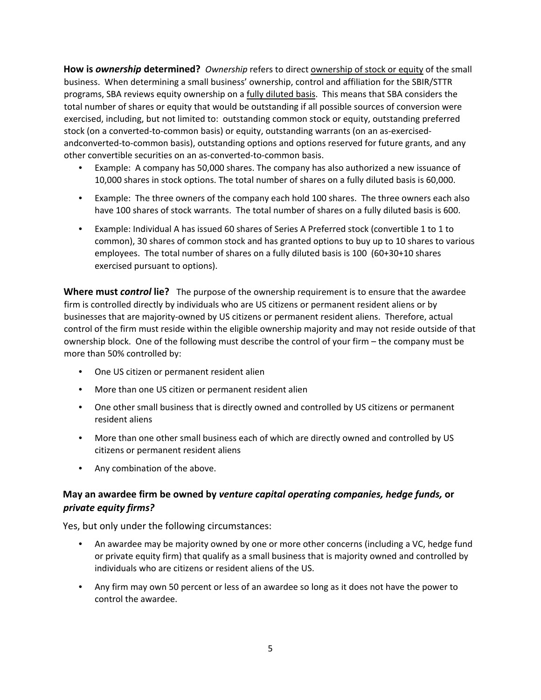**How is** *ownership* **determined?** *Ownership* refers to direct ownership of stock or equity of the small business. When determining a small business' ownership, control and affiliation for the SBIR/STTR programs, SBA reviews equity ownership on a fully diluted basis. This means that SBA considers the total number of shares or equity that would be outstanding if all possible sources of conversion were exercised, including, but not limited to: outstanding common stock or equity, outstanding preferred stock (on a converted-to-common basis) or equity, outstanding warrants (on an as-exercisedandconverted-to-common basis), outstanding options and options reserved for future grants, and any other convertible securities on an as‐converted‐to‐common basis.

- Example: A company has 50,000 shares. The company has also authorized a new issuance of 10,000 shares in stock options. The total number of shares on a fully diluted basis is 60,000.
- Example: The three owners of the company each hold 100 shares. The three owners each also have 100 shares of stock warrants. The total number of shares on a fully diluted basis is 600.
- Example: Individual A has issued 60 shares of Series A Preferred stock (convertible 1 to 1 to common), 30 shares of common stock and has granted options to buy up to 10 shares to various employees. The total number of shares on a fully diluted basis is 100 (60+30+10 shares exercised pursuant to options).

**Where must** *control* **lie?** The purpose of the ownership requirement is to ensure that the awardee firm is controlled directly by individuals who are US citizens or permanent resident aliens or by businesses that are majority‐owned by US citizens or permanent resident aliens. Therefore, actual control of the firm must reside within the eligible ownership majority and may not reside outside of that ownership block. One of the following must describe the control of your firm – the company must be more than 50% controlled by:

- One US citizen or permanent resident alien
- More than one US citizen or permanent resident alien
- One other small business that is directly owned and controlled by US citizens or permanent resident aliens
- More than one other small business each of which are directly owned and controlled by US citizens or permanent resident aliens
- Any combination of the above.

## **May an awardee firm be owned by** *venture capital operating companies, hedge funds,* **or** *private equity firms?*

Yes, but only under the following circumstances:

- An awardee may be majority owned by one or more other concerns (including a VC, hedge fund or private equity firm) that qualify as a small business that is majority owned and controlled by individuals who are citizens or resident aliens of the US.
- Any firm may own 50 percent or less of an awardee so long as it does not have the power to control the awardee.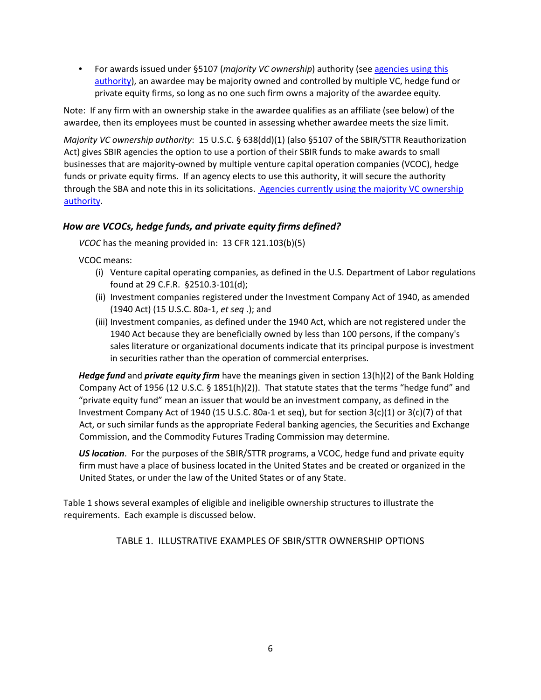• For awards issued under §5107 (*majority VC ownership*) authority (see agencies using this authority), an awardee may be majority owned and controlled by multiple VC, hedge fund or private equity firms, so long as no one such firm owns a majority of the awardee equity.

Note: If any firm with an ownership stake in the awardee qualifies as an affiliate (see below) of the awardee, then its employees must be counted in assessing whether awardee meets the size limit.

*Majority VC ownership authority*: 15 U.S.C. § 638(dd)(1) (also §5107 of the SBIR/STTR Reauthorization Act) gives SBIR agencies the option to use a portion of their SBIR funds to make awards to small businesses that are majority‐owned by multiple venture capital operation companies (VCOC), hedge funds or private equity firms. If an agency elects to use this authority, it will secure the authority through the SBA and note this in its solicitations. Agencies currently using the majority VC ownership authority.

#### *How are VCOCs, hedge funds, and private equity firms defined?*

*VCOC* has the meaning provided in:13 CFR 121.103(b)(5)

VCOC means:

- (i) Venture capital operating companies, as defined in the U.S. Department of Labor regulations found at 29 C.F.R. §2510.3‐101(d);
- (ii) Investment companies registered under the Investment Company Act of 1940, as amended (1940 Act) (15 U.S.C. 80a‐1, *et seq* .); and
- (iii) Investment companies, as defined under the 1940 Act, which are not registered under the 1940 Act because they are beneficially owned by less than 100 persons, if the company's sales literature or organizational documents indicate that its principal purpose is investment in securities rather than the operation of commercial enterprises.

*Hedge fund* and *private equity firm* have the meanings given in section 13(h)(2) of the Bank Holding Company Act of 1956 (12 U.S.C. § 1851(h)(2)). That statute states that the terms "hedge fund" and "private equity fund" mean an issuer that would be an investment company, as defined in the Investment Company Act of 1940 (15 U.S.C. 80a-1 et seq), but for section  $3(c)(1)$  or  $3(c)(7)$  of that Act, or such similar funds as the appropriate Federal banking agencies, the Securities and Exchange Commission, and the Commodity Futures Trading Commission may determine.

*US location*. For the purposes of the SBIR/STTR programs, a VCOC, hedge fund and private equity firm must have a place of business located in the United States and be created or organized in the United States, or under the law of the United States or of any State.

Table 1 shows several examples of eligible and ineligible ownership structures to illustrate the requirements. Each example is discussed below.

TABLE 1. ILLUSTRATIVE EXAMPLES OF SBIR/STTR OWNERSHIP OPTIONS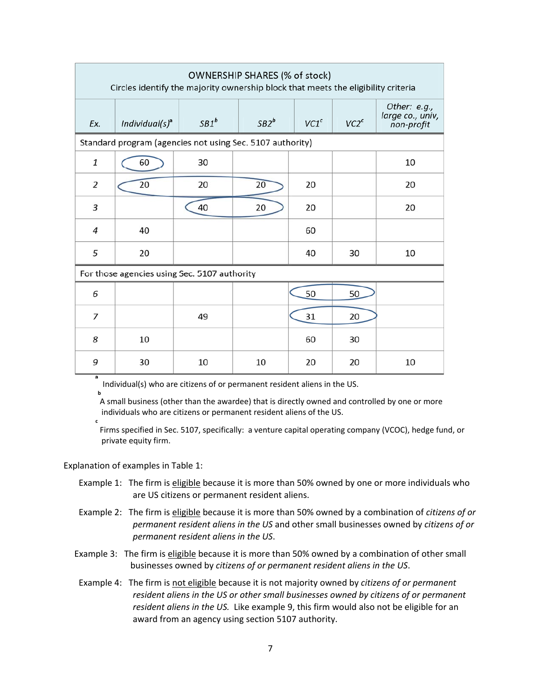| OWNERSHIP SHARES (% of stock)<br>Circles identify the majority ownership block that meets the eligibility criteria |                                |         |         |                  |                  |                                                |  |
|--------------------------------------------------------------------------------------------------------------------|--------------------------------|---------|---------|------------------|------------------|------------------------------------------------|--|
| Ex.                                                                                                                | Individual( $s$ ) <sup>a</sup> | $SB1^b$ | $SB2^b$ | VC1 <sup>c</sup> | VC2 <sup>c</sup> | Other: e.g.,<br>large co., univ,<br>non-profit |  |
| Standard program (agencies not using Sec. 5107 authority)                                                          |                                |         |         |                  |                  |                                                |  |
| 1                                                                                                                  | 60                             | 30      |         |                  |                  | 10                                             |  |
| 2                                                                                                                  | 20                             | 20      | 20      | 20               |                  | 20                                             |  |
| 3                                                                                                                  |                                | 40      | 20      | 20               |                  | 20                                             |  |
| $\overline{a}$                                                                                                     | 40                             |         |         | 60               |                  |                                                |  |
| 5                                                                                                                  | 20                             |         |         | 40               | 30               | 10                                             |  |
| For those agencies using Sec. 5107 authority                                                                       |                                |         |         |                  |                  |                                                |  |
| 6                                                                                                                  |                                |         |         | 50               | 50               |                                                |  |
| 7                                                                                                                  |                                | 49      |         | 31               | 20               |                                                |  |
| 8                                                                                                                  | 10                             |         |         | 60               | 30               |                                                |  |
| 9                                                                                                                  | 30                             | 10      | 10      | 20               | 20               | 10                                             |  |

Individual(s) who are citizens of or permanent resident aliens in the US.

A small business (other than the awardee) that is directly owned and controlled by one or more individuals who are citizens or permanent resident aliens of the US.

**c**

**b**

Firms specified in Sec. 5107, specifically: a venture capital operating company (VCOC), hedge fund, or private equity firm.

Explanation of examples in Table 1:

- Example 1: The firm is eligible because it is more than 50% owned by one or more individuals who are US citizens or permanent resident aliens.
- Example 2: The firm is eligible because it is more than 50% owned by a combination of *citizens of or permanent resident aliens in the US* and other small businesses owned by *citizens of or permanent resident aliens in the US*.
- Example 3: The firm is eligible because it is more than 50% owned by a combination of other small businesses owned by *citizens of or permanent resident aliens in the US*.
- Example 4: The firm is not eligible because it is not majority owned by *citizens of or permanent resident aliens in the US or other small businesses owned by citizens of or permanent resident aliens in the US.* Like example 9, this firm would also not be eligible for an award from an agency using section 5107 authority.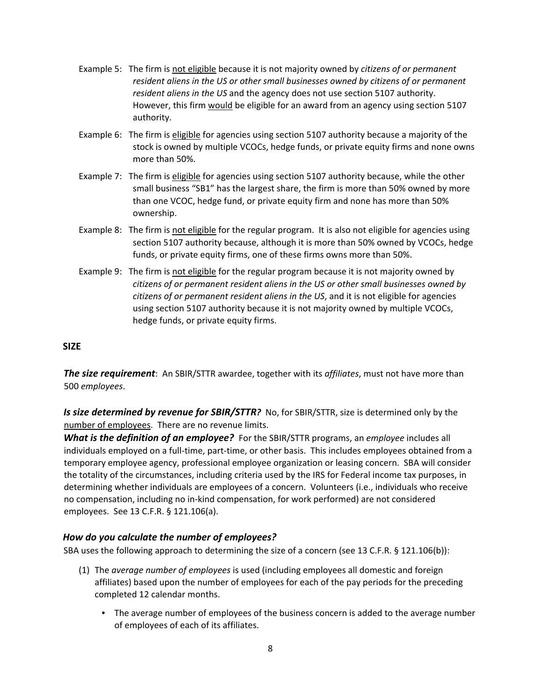- Example 5: The firm is not eligible because it is not majority owned by *citizens of or permanent resident aliens in the US or other small businesses owned by citizens of or permanent resident aliens in the US* and the agency does not use section 5107 authority. However, this firm would be eligible for an award from an agency using section 5107 authority.
- Example 6: The firm is eligible for agencies using section 5107 authority because a majority of the stock is owned by multiple VCOCs, hedge funds, or private equity firms and none owns more than 50%.
- Example 7: The firm is eligible for agencies using section 5107 authority because, while the other small business "SB1" has the largest share, the firm is more than 50% owned by more than one VCOC, hedge fund, or private equity firm and none has more than 50% ownership.
- Example 8: The firm is not eligible for the regular program. It is also not eligible for agencies using section 5107 authority because, although it is more than 50% owned by VCOCs, hedge funds, or private equity firms, one of these firms owns more than 50%.
- Example 9: The firm is not eligible for the regular program because it is not majority owned by *citizens of or permanent resident aliens in the US or other small businesses owned by citizens of or permanent resident aliens in the US*, and it is not eligible for agencies using section 5107 authority because it is not majority owned by multiple VCOCs, hedge funds, or private equity firms.

#### **SIZE**

*The size requirement*: An SBIR/STTR awardee, together with its *affiliates*, must not have more than 500 *employees*.

*Is size determined by revenue for SBIR/STTR?* No, for SBIR/STTR, size is determined only by the number of employees. There are no revenue limits.

*What is the definition of an employee?* For the SBIR/STTR programs, an *employee* includes all individuals employed on a full‐time, part‐time, or other basis. This includes employees obtained from a temporary employee agency, professional employee organization or leasing concern. SBA will consider the totality of the circumstances, including criteria used by the IRS for Federal income tax purposes, in determining whether individuals are employees of a concern. Volunteers (i.e., individuals who receive no compensation, including no in‐kind compensation, for work performed) are not considered employees. See 13 C.F.R. § 121.106(a).

#### *How do you calculate the number of employees?*

SBA uses the following approach to determining the size of a concern (see 13 C.F.R. § 121.106(b)):

- (1) The *average number of employees* is used (including employees all domestic and foreign affiliates) based upon the number of employees for each of the pay periods for the preceding completed 12 calendar months.
	- The average number of employees of the business concern is added to the average number of employees of each of its affiliates.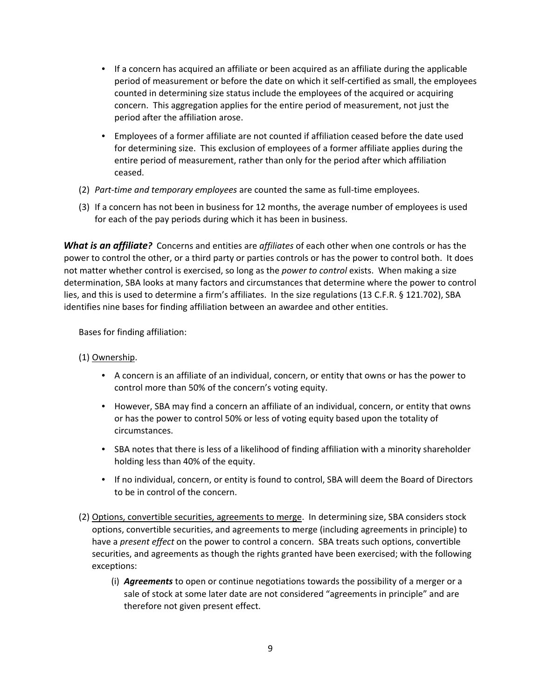- If a concern has acquired an affiliate or been acquired as an affiliate during the applicable period of measurement or before the date on which it self‐certified as small, the employees counted in determining size status include the employees of the acquired or acquiring concern. This aggregation applies for the entire period of measurement, not just the period after the affiliation arose.
- Employees of a former affiliate are not counted if affiliation ceased before the date used for determining size. This exclusion of employees of a former affiliate applies during the entire period of measurement, rather than only for the period after which affiliation ceased.
- (2) *Part‐time and temporary employees* are counted the same as full‐time employees.
- (3) If a concern has not been in business for 12 months, the average number of employees is used for each of the pay periods during which it has been in business.

*What is an affiliate?* Concerns and entities are *affiliates* of each other when one controls or has the power to control the other, or a third party or parties controls or has the power to control both. It does not matter whether control is exercised, so long as the *power to control* exists. When making a size determination, SBA looks at many factors and circumstances that determine where the power to control lies, and this is used to determine a firm's affiliates. In the size regulations (13 C.F.R. § 121.702), SBA identifies nine bases for finding affiliation between an awardee and other entities.

Bases for finding affiliation:

(1) Ownership.

- A concern is an affiliate of an individual, concern, or entity that owns or has the power to control more than 50% of the concern's voting equity.
- However, SBA may find a concern an affiliate of an individual, concern, or entity that owns or has the power to control 50% or less of voting equity based upon the totality of circumstances.
- SBA notes that there is less of a likelihood of finding affiliation with a minority shareholder holding less than 40% of the equity.
- If no individual, concern, or entity is found to control, SBA will deem the Board of Directors to be in control of the concern.
- (2) Options, convertible securities, agreements to merge. In determining size, SBA considers stock options, convertible securities, and agreements to merge (including agreements in principle) to have a *present effect* on the power to control a concern. SBA treats such options, convertible securities, and agreements as though the rights granted have been exercised; with the following exceptions:
	- (i) *Agreements* to open or continue negotiations towards the possibility of a merger or a sale of stock at some later date are not considered "agreements in principle" and are therefore not given present effect.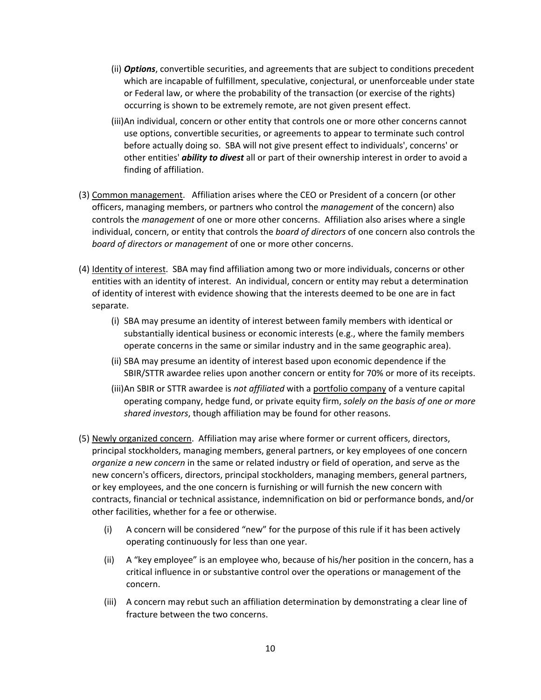- (ii) *Options*, convertible securities, and agreements that are subject to conditions precedent which are incapable of fulfillment, speculative, conjectural, or unenforceable under state or Federal law, or where the probability of the transaction (or exercise of the rights) occurring is shown to be extremely remote, are not given present effect.
- (iii)An individual, concern or other entity that controls one or more other concerns cannot use options, convertible securities, or agreements to appear to terminate such control before actually doing so. SBA will not give present effect to individuals', concerns' or other entities' *ability to divest* all or part of their ownership interest in order to avoid a finding of affiliation.
- (3) Common management. Affiliation arises where the CEO or President of a concern (or other officers, managing members, or partners who control the *management* of the concern) also controls the *management* of one or more other concerns. Affiliation also arises where a single individual, concern, or entity that controls the *board of directors* of one concern also controls the *board of directors or management* of one or more other concerns.
- (4) Identity of interest. SBA may find affiliation among two or more individuals, concerns or other entities with an identity of interest. An individual, concern or entity may rebut a determination of identity of interest with evidence showing that the interests deemed to be one are in fact separate.
	- (i) SBA may presume an identity of interest between family members with identical or substantially identical business or economic interests (e.g., where the family members operate concerns in the same or similar industry and in the same geographic area).
	- (ii) SBA may presume an identity of interest based upon economic dependence if the SBIR/STTR awardee relies upon another concern or entity for 70% or more of its receipts.
	- (iii)An SBIR or STTR awardee is *not affiliated* with a portfolio company of a venture capital operating company, hedge fund, or private equity firm, *solely on the basis of one or more shared investors*, though affiliation may be found for other reasons.
- (5) Newly organized concern. Affiliation may arise where former or current officers, directors, principal stockholders, managing members, general partners, or key employees of one concern *organize a new concern* in the same or related industry or field of operation, and serve as the new concern's officers, directors, principal stockholders, managing members, general partners, or key employees, and the one concern is furnishing or will furnish the new concern with contracts, financial or technical assistance, indemnification on bid or performance bonds, and/or other facilities, whether for a fee or otherwise.
	- (i) A concern will be considered "new" for the purpose of this rule if it has been actively operating continuously for less than one year.
	- (ii) A "key employee" is an employee who, because of his/her position in the concern, has a critical influence in or substantive control over the operations or management of the concern.
	- (iii) A concern may rebut such an affiliation determination by demonstrating a clear line of fracture between the two concerns.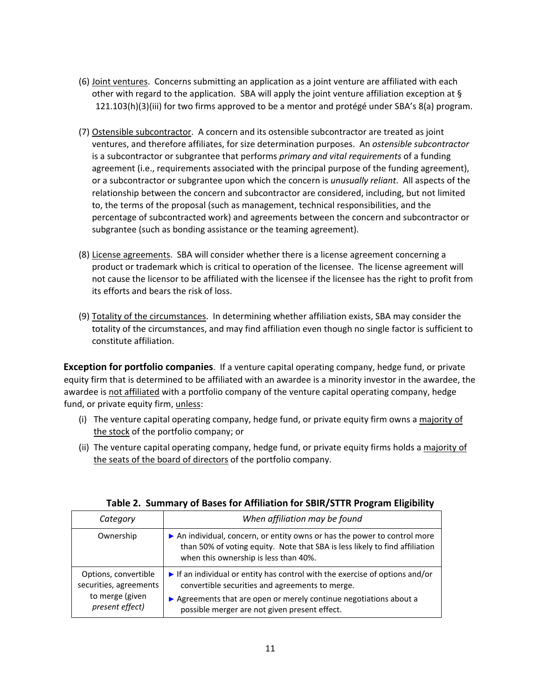- (6) Joint ventures. Concerns submitting an application as a joint venture are affiliated with each other with regard to the application. SBA will apply the joint venture affiliation exception at § 121.103(h)(3)(iii) for two firms approved to be a mentor and protégé under SBA's 8(a) program.
- (7) Ostensible subcontractor. A concern and its ostensible subcontractor are treated as joint ventures, and therefore affiliates, for size determination purposes. An *ostensible subcontractor* is a subcontractor or subgrantee that performs *primary and vital requirements* of a funding agreement (i.e., requirements associated with the principal purpose of the funding agreement), or a subcontractor or subgrantee upon which the concern is *unusually reliant*. All aspects of the relationship between the concern and subcontractor are considered, including, but not limited to, the terms of the proposal (such as management, technical responsibilities, and the percentage of subcontracted work) and agreements between the concern and subcontractor or subgrantee (such as bonding assistance or the teaming agreement).
- (8) License agreements. SBA will consider whether there is a license agreement concerning a product or trademark which is critical to operation of the licensee. The license agreement will not cause the licensor to be affiliated with the licensee if the licensee has the right to profit from its efforts and bears the risk of loss.
- (9) Totality of the circumstances. In determining whether affiliation exists, SBA may consider the totality of the circumstances, and may find affiliation even though no single factor is sufficient to constitute affiliation.

**Exception for portfolio companies**. If a venture capital operating company, hedge fund, or private equity firm that is determined to be affiliated with an awardee is a minority investor in the awardee, the awardee is not affiliated with a portfolio company of the venture capital operating company, hedge fund, or private equity firm, unless:

- (i) The venture capital operating company, hedge fund, or private equity firm owns a majority of the stock of the portfolio company; or
- (ii) The venture capital operating company, hedge fund, or private equity firms holds a majority of the seats of the board of directors of the portfolio company.

| Category                                                                             | When affiliation may be found                                                                                                                                                                                                                                       |  |  |
|--------------------------------------------------------------------------------------|---------------------------------------------------------------------------------------------------------------------------------------------------------------------------------------------------------------------------------------------------------------------|--|--|
| Ownership                                                                            | An individual, concern, or entity owns or has the power to control more<br>than 50% of voting equity. Note that SBA is less likely to find affiliation<br>when this ownership is less than 40%.                                                                     |  |  |
| Options, convertible<br>securities, agreements<br>to merge (given<br>present effect) | $\triangleright$ If an individual or entity has control with the exercise of options and/or<br>convertible securities and agreements to merge.<br>Agreements that are open or merely continue negotiations about a<br>possible merger are not given present effect. |  |  |

#### **Table 2. Summary of Bases for Affiliation for SBIR/STTR Program Eligibility**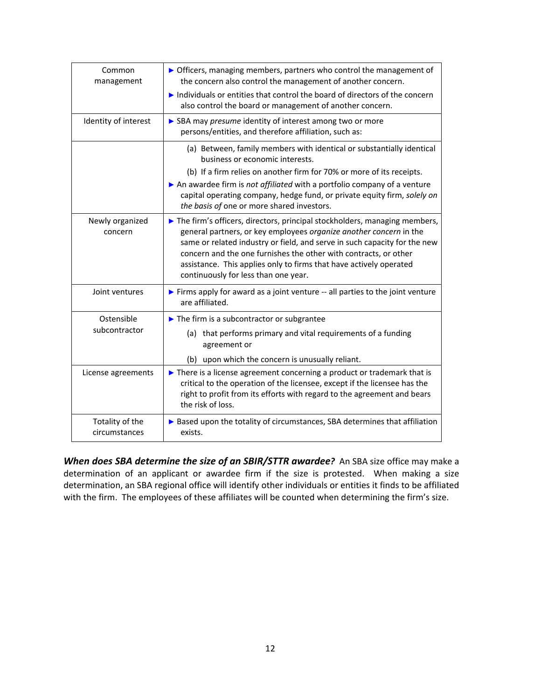| Common<br>management             | • Officers, managing members, partners who control the management of<br>the concern also control the management of another concern.<br>Individuals or entities that control the board of directors of the concern<br>also control the board or management of another concern.                                                                                                                                  |  |  |
|----------------------------------|----------------------------------------------------------------------------------------------------------------------------------------------------------------------------------------------------------------------------------------------------------------------------------------------------------------------------------------------------------------------------------------------------------------|--|--|
| Identity of interest             | SBA may presume identity of interest among two or more<br>persons/entities, and therefore affiliation, such as:                                                                                                                                                                                                                                                                                                |  |  |
|                                  | (a) Between, family members with identical or substantially identical<br>business or economic interests.                                                                                                                                                                                                                                                                                                       |  |  |
|                                  | (b) If a firm relies on another firm for 70% or more of its receipts.<br>An awardee firm is not affiliated with a portfolio company of a venture<br>capital operating company, hedge fund, or private equity firm, solely on<br>the basis of one or more shared investors.                                                                                                                                     |  |  |
| Newly organized<br>concern       | The firm's officers, directors, principal stockholders, managing members,<br>general partners, or key employees organize another concern in the<br>same or related industry or field, and serve in such capacity for the new<br>concern and the one furnishes the other with contracts, or other<br>assistance. This applies only to firms that have actively operated<br>continuously for less than one year. |  |  |
| Joint ventures                   | Firms apply for award as a joint venture -- all parties to the joint venture<br>are affiliated.                                                                                                                                                                                                                                                                                                                |  |  |
| Ostensible                       | $\blacktriangleright$ The firm is a subcontractor or subgrantee                                                                                                                                                                                                                                                                                                                                                |  |  |
| subcontractor                    | (a) that performs primary and vital requirements of a funding<br>agreement or                                                                                                                                                                                                                                                                                                                                  |  |  |
|                                  | (b) upon which the concern is unusually reliant.                                                                                                                                                                                                                                                                                                                                                               |  |  |
| License agreements               | $\triangleright$ There is a license agreement concerning a product or trademark that is<br>critical to the operation of the licensee, except if the licensee has the<br>right to profit from its efforts with regard to the agreement and bears<br>the risk of loss.                                                                                                                                           |  |  |
| Totality of the<br>circumstances | Based upon the totality of circumstances, SBA determines that affiliation<br>exists.                                                                                                                                                                                                                                                                                                                           |  |  |

*When does SBA determine the size of an SBIR/STTR awardee?* An SBA size office may make a determination of an applicant or awardee firm if the size is protested. When making a size determination, an SBA regional office will identify other individuals or entities it finds to be affiliated with the firm. The employees of these affiliates will be counted when determining the firm's size.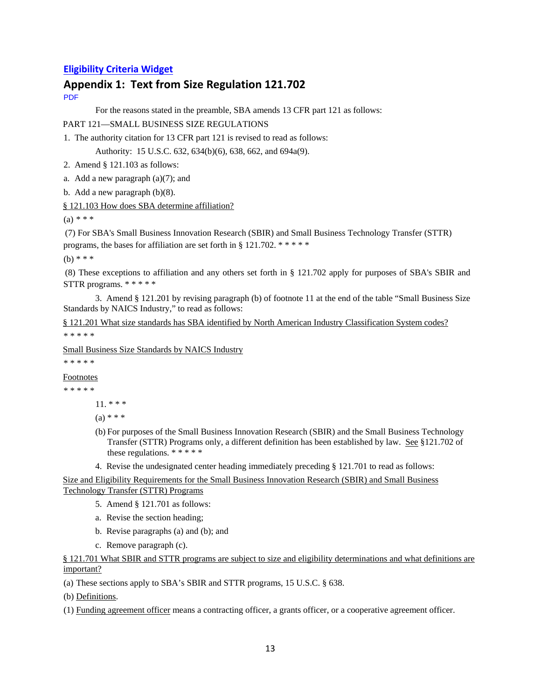#### **Eligibility Criteria Widget**

# **Appendix 1: Text from Size Regulation 121.702**

PDF

For the reasons stated in the preamble, SBA amends 13 CFR part 121 as follows:

PART 121—SMALL BUSINESS SIZE REGULATIONS

1. The authority citation for 13 CFR part 121 is revised to read as follows:

Authority: 15 U.S.C. 632, 634(b)(6), 638, 662, and 694a(9).

2. Amend § 121.103 as follows:

a. Add a new paragraph  $(a)(7)$ ; and

b. Add a new paragraph (b)(8).

§ 121.103 How does SBA determine affiliation?

 $(a) * * *$ 

 (7) For SBA's Small Business Innovation Research (SBIR) and Small Business Technology Transfer (STTR) programs, the bases for affiliation are set forth in § 121.702. \* \* \* \* \*

(b) \* \* \*

 (8) These exceptions to affiliation and any others set forth in § 121.702 apply for purposes of SBA's SBIR and STTR programs. \* \* \* \* \*

 3. Amend § 121.201 by revising paragraph (b) of footnote 11 at the end of the table "Small Business Size Standards by NAICS Industry," to read as follows:

§ 121.201 What size standards has SBA identified by North American Industry Classification System codes? \* \* \* \* \*

Small Business Size Standards by NAICS Industry

\* \* \* \* \*

Footnotes

\* \* \* \* \*

11. \* \* \*

 $(a) * * *$ 

- (b) For purposes of the Small Business Innovation Research (SBIR) and the Small Business Technology Transfer (STTR) Programs only, a different definition has been established by law. See §121.702 of these regulations. \* \* \* \* \*
- 4. Revise the undesignated center heading immediately preceding § 121.701 to read as follows:

Size and Eligibility Requirements for the Small Business Innovation Research (SBIR) and Small Business Technology Transfer (STTR) Programs

- 5. Amend § 121.701 as follows:
- a. Revise the section heading;
- b. Revise paragraphs (a) and (b); and
- c. Remove paragraph (c).

§ 121.701 What SBIR and STTR programs are subject to size and eligibility determinations and what definitions are important?

(a) These sections apply to SBA's SBIR and STTR programs, 15 U.S.C. § 638.

(b) Definitions.

(1) Funding agreement officer means a contracting officer, a grants officer, or a cooperative agreement officer.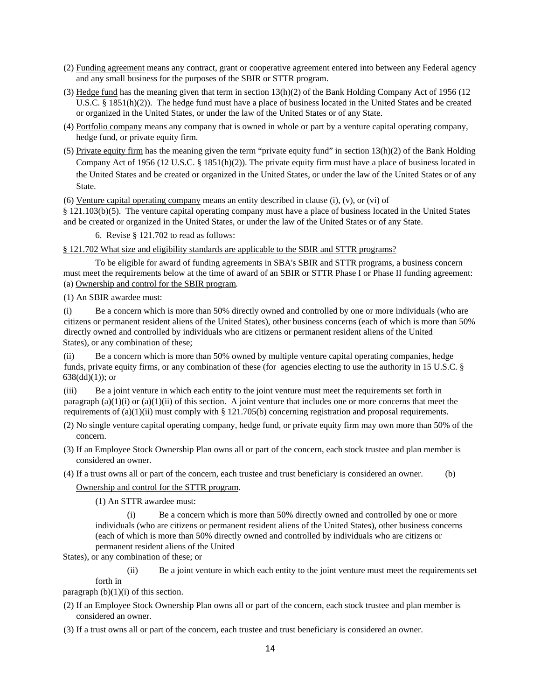- (2) Funding agreement means any contract, grant or cooperative agreement entered into between any Federal agency and any small business for the purposes of the SBIR or STTR program.
- (3) Hedge fund has the meaning given that term in section 13(h)(2) of the Bank Holding Company Act of 1956 (12 U.S.C. § 1851(h)(2)). The hedge fund must have a place of business located in the United States and be created or organized in the United States, or under the law of the United States or of any State.
- (4) Portfolio company means any company that is owned in whole or part by a venture capital operating company, hedge fund, or private equity firm.
- (5) Private equity firm has the meaning given the term "private equity fund" in section  $13(h)(2)$  of the Bank Holding Company Act of 1956 (12 U.S.C. § 1851(h)(2)). The private equity firm must have a place of business located in the United States and be created or organized in the United States, or under the law of the United States or of any State.

(6) Venture capital operating company means an entity described in clause  $(i)$ ,  $(v)$ , or  $(vi)$  of

§ 121.103(b)(5). The venture capital operating company must have a place of business located in the United States and be created or organized in the United States, or under the law of the United States or of any State.

6. Revise § 121.702 to read as follows:

§ 121.702 What size and eligibility standards are applicable to the SBIR and STTR programs?

 To be eligible for award of funding agreements in SBA's SBIR and STTR programs, a business concern must meet the requirements below at the time of award of an SBIR or STTR Phase I or Phase II funding agreement: (a) Ownership and control for the SBIR program*.* 

(1) An SBIR awardee must:

(i) Be a concern which is more than 50% directly owned and controlled by one or more individuals (who are citizens or permanent resident aliens of the United States), other business concerns (each of which is more than 50% directly owned and controlled by individuals who are citizens or permanent resident aliens of the United States), or any combination of these;

(ii) Be a concern which is more than 50% owned by multiple venture capital operating companies, hedge funds, private equity firms, or any combination of these (for agencies electing to use the authority in 15 U.S.C. §  $638(dd)(1)$ ; or

(iii) Be a joint venture in which each entity to the joint venture must meet the requirements set forth in paragraph (a)(1)(i) or (a)(1)(ii) of this section. A joint venture that includes one or more concerns that meet the requirements of (a)(1)(ii) must comply with § 121.705(b) concerning registration and proposal requirements.

- (2) No single venture capital operating company, hedge fund, or private equity firm may own more than 50% of the concern.
- (3) If an Employee Stock Ownership Plan owns all or part of the concern, each stock trustee and plan member is considered an owner.

(4) If a trust owns all or part of the concern, each trustee and trust beneficiary is considered an owner. (b)

Ownership and control for the STTR program*.* 

(1) An STTR awardee must:

(i) Be a concern which is more than 50% directly owned and controlled by one or more individuals (who are citizens or permanent resident aliens of the United States), other business concerns (each of which is more than 50% directly owned and controlled by individuals who are citizens or permanent resident aliens of the United

States), or any combination of these; or

(ii) Be a joint venture in which each entity to the joint venture must meet the requirements set forth in

paragraph  $(b)(1)(i)$  of this section.

(2) If an Employee Stock Ownership Plan owns all or part of the concern, each stock trustee and plan member is considered an owner.

(3) If a trust owns all or part of the concern, each trustee and trust beneficiary is considered an owner.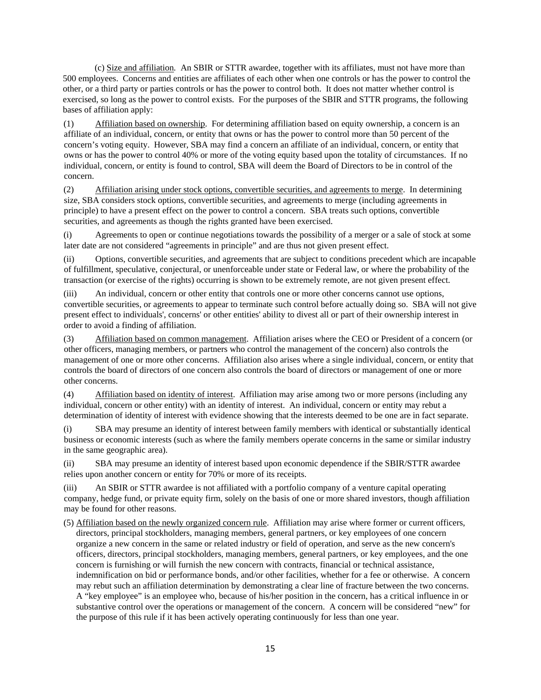(c) Size and affiliation*.* An SBIR or STTR awardee, together with its affiliates, must not have more than 500 employees. Concerns and entities are affiliates of each other when one controls or has the power to control the other, or a third party or parties controls or has the power to control both. It does not matter whether control is exercised, so long as the power to control exists. For the purposes of the SBIR and STTR programs, the following bases of affiliation apply:

(1) Affiliation based on ownership. For determining affiliation based on equity ownership, a concern is an affiliate of an individual, concern, or entity that owns or has the power to control more than 50 percent of the concern's voting equity. However, SBA may find a concern an affiliate of an individual, concern, or entity that owns or has the power to control 40% or more of the voting equity based upon the totality of circumstances. If no individual, concern, or entity is found to control, SBA will deem the Board of Directors to be in control of the concern.

(2) Affiliation arising under stock options, convertible securities, and agreements to merge. In determining size, SBA considers stock options, convertible securities, and agreements to merge (including agreements in principle) to have a present effect on the power to control a concern. SBA treats such options, convertible securities, and agreements as though the rights granted have been exercised.

(i) Agreements to open or continue negotiations towards the possibility of a merger or a sale of stock at some later date are not considered "agreements in principle" and are thus not given present effect.

(ii) Options, convertible securities, and agreements that are subject to conditions precedent which are incapable of fulfillment, speculative, conjectural, or unenforceable under state or Federal law, or where the probability of the transaction (or exercise of the rights) occurring is shown to be extremely remote, are not given present effect.

(iii) An individual, concern or other entity that controls one or more other concerns cannot use options, convertible securities, or agreements to appear to terminate such control before actually doing so. SBA will not give present effect to individuals', concerns' or other entities' ability to divest all or part of their ownership interest in order to avoid a finding of affiliation.

(3) Affiliation based on common management. Affiliation arises where the CEO or President of a concern (or other officers, managing members, or partners who control the management of the concern) also controls the management of one or more other concerns. Affiliation also arises where a single individual, concern, or entity that controls the board of directors of one concern also controls the board of directors or management of one or more other concerns.

(4) Affiliation based on identity of interest. Affiliation may arise among two or more persons (including any individual, concern or other entity) with an identity of interest. An individual, concern or entity may rebut a determination of identity of interest with evidence showing that the interests deemed to be one are in fact separate.

(i) SBA may presume an identity of interest between family members with identical or substantially identical business or economic interests (such as where the family members operate concerns in the same or similar industry in the same geographic area).

(ii) SBA may presume an identity of interest based upon economic dependence if the SBIR/STTR awardee relies upon another concern or entity for 70% or more of its receipts.

(iii) An SBIR or STTR awardee is not affiliated with a portfolio company of a venture capital operating company, hedge fund, or private equity firm, solely on the basis of one or more shared investors, though affiliation may be found for other reasons.

(5) Affiliation based on the newly organized concern rule. Affiliation may arise where former or current officers, directors, principal stockholders, managing members, general partners, or key employees of one concern organize a new concern in the same or related industry or field of operation, and serve as the new concern's officers, directors, principal stockholders, managing members, general partners, or key employees, and the one concern is furnishing or will furnish the new concern with contracts, financial or technical assistance, indemnification on bid or performance bonds, and/or other facilities, whether for a fee or otherwise. A concern may rebut such an affiliation determination by demonstrating a clear line of fracture between the two concerns. A "key employee" is an employee who, because of his/her position in the concern, has a critical influence in or substantive control over the operations or management of the concern. A concern will be considered "new" for the purpose of this rule if it has been actively operating continuously for less than one year.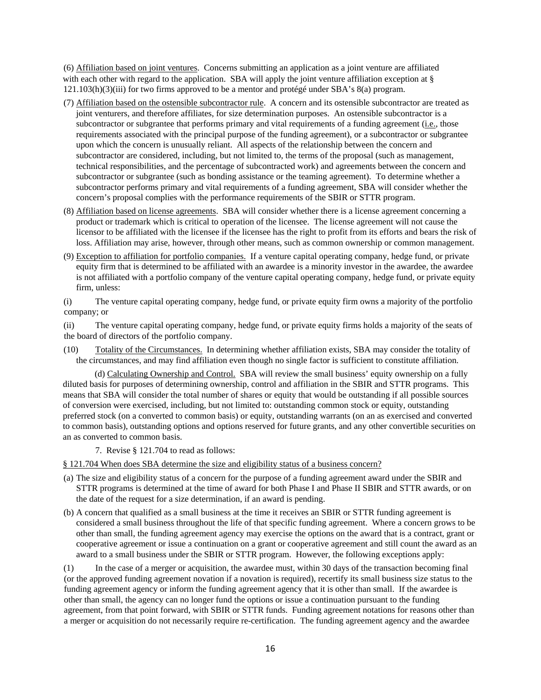(6) Affiliation based on joint ventures. Concerns submitting an application as a joint venture are affiliated with each other with regard to the application. SBA will apply the joint venture affiliation exception at § 121.103(h)(3)(iii) for two firms approved to be a mentor and protégé under SBA's 8(a) program.

- (7) Affiliation based on the ostensible subcontractor rule. A concern and its ostensible subcontractor are treated as joint venturers, and therefore affiliates, for size determination purposes. An ostensible subcontractor is a subcontractor or subgrantee that performs primary and vital requirements of a funding agreement (i.e., those requirements associated with the principal purpose of the funding agreement), or a subcontractor or subgrantee upon which the concern is unusually reliant. All aspects of the relationship between the concern and subcontractor are considered, including, but not limited to, the terms of the proposal (such as management, technical responsibilities, and the percentage of subcontracted work) and agreements between the concern and subcontractor or subgrantee (such as bonding assistance or the teaming agreement). To determine whether a subcontractor performs primary and vital requirements of a funding agreement, SBA will consider whether the concern's proposal complies with the performance requirements of the SBIR or STTR program.
- (8) Affiliation based on license agreements. SBA will consider whether there is a license agreement concerning a product or trademark which is critical to operation of the licensee. The license agreement will not cause the licensor to be affiliated with the licensee if the licensee has the right to profit from its efforts and bears the risk of loss. Affiliation may arise, however, through other means, such as common ownership or common management.
- (9) Exception to affiliation for portfolio companies. If a venture capital operating company, hedge fund, or private equity firm that is determined to be affiliated with an awardee is a minority investor in the awardee, the awardee is not affiliated with a portfolio company of the venture capital operating company, hedge fund, or private equity firm, unless:
- (i) The venture capital operating company, hedge fund, or private equity firm owns a majority of the portfolio company; or

(ii) The venture capital operating company, hedge fund, or private equity firms holds a majority of the seats of the board of directors of the portfolio company.

(10) Totality of the Circumstances. In determining whether affiliation exists, SBA may consider the totality of the circumstances, and may find affiliation even though no single factor is sufficient to constitute affiliation.

(d) Calculating Ownership and Control. SBA will review the small business' equity ownership on a fully diluted basis for purposes of determining ownership, control and affiliation in the SBIR and STTR programs. This means that SBA will consider the total number of shares or equity that would be outstanding if all possible sources of conversion were exercised, including, but not limited to: outstanding common stock or equity, outstanding preferred stock (on a converted to common basis) or equity, outstanding warrants (on an as exercised and converted to common basis), outstanding options and options reserved for future grants, and any other convertible securities on an as converted to common basis.

7. Revise § 121.704 to read as follows:

§ 121.704 When does SBA determine the size and eligibility status of a business concern?

- (a) The size and eligibility status of a concern for the purpose of a funding agreement award under the SBIR and STTR programs is determined at the time of award for both Phase I and Phase II SBIR and STTR awards, or on the date of the request for a size determination, if an award is pending.
- (b) A concern that qualified as a small business at the time it receives an SBIR or STTR funding agreement is considered a small business throughout the life of that specific funding agreement. Where a concern grows to be other than small, the funding agreement agency may exercise the options on the award that is a contract, grant or cooperative agreement or issue a continuation on a grant or cooperative agreement and still count the award as an award to a small business under the SBIR or STTR program. However, the following exceptions apply:

(1) In the case of a merger or acquisition, the awardee must, within 30 days of the transaction becoming final (or the approved funding agreement novation if a novation is required), recertify its small business size status to the funding agreement agency or inform the funding agreement agency that it is other than small. If the awardee is other than small, the agency can no longer fund the options or issue a continuation pursuant to the funding agreement, from that point forward, with SBIR or STTR funds. Funding agreement notations for reasons other than a merger or acquisition do not necessarily require re-certification. The funding agreement agency and the awardee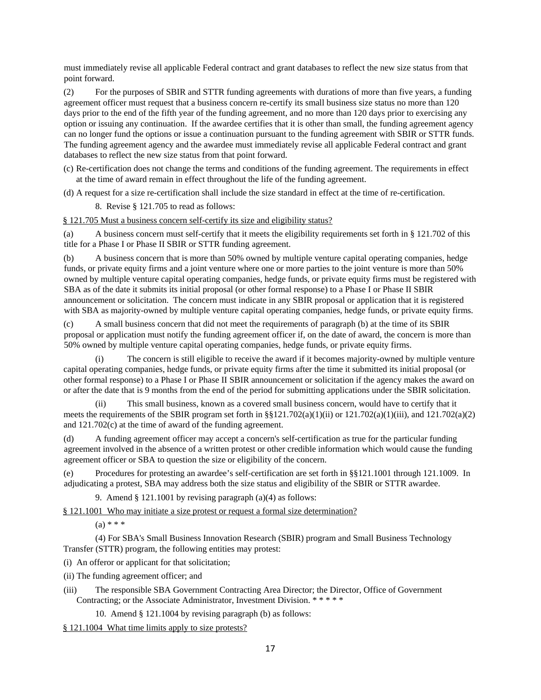must immediately revise all applicable Federal contract and grant databases to reflect the new size status from that point forward.

(2) For the purposes of SBIR and STTR funding agreements with durations of more than five years, a funding agreement officer must request that a business concern re-certify its small business size status no more than 120 days prior to the end of the fifth year of the funding agreement, and no more than 120 days prior to exercising any option or issuing any continuation. If the awardee certifies that it is other than small, the funding agreement agency can no longer fund the options or issue a continuation pursuant to the funding agreement with SBIR or STTR funds. The funding agreement agency and the awardee must immediately revise all applicable Federal contract and grant databases to reflect the new size status from that point forward.

(c) Re-certification does not change the terms and conditions of the funding agreement. The requirements in effect at the time of award remain in effect throughout the life of the funding agreement.

(d) A request for a size re-certification shall include the size standard in effect at the time of re-certification.

8. Revise § 121.705 to read as follows:

§ 121.705 Must a business concern self-certify its size and eligibility status?

(a) A business concern must self-certify that it meets the eligibility requirements set forth in § 121.702 of this title for a Phase I or Phase II SBIR or STTR funding agreement.

(b) A business concern that is more than 50% owned by multiple venture capital operating companies, hedge funds, or private equity firms and a joint venture where one or more parties to the joint venture is more than 50% owned by multiple venture capital operating companies, hedge funds, or private equity firms must be registered with SBA as of the date it submits its initial proposal (or other formal response) to a Phase I or Phase II SBIR announcement or solicitation. The concern must indicate in any SBIR proposal or application that it is registered with SBA as majority-owned by multiple venture capital operating companies, hedge funds, or private equity firms.

(c) A small business concern that did not meet the requirements of paragraph (b) at the time of its SBIR proposal or application must notify the funding agreement officer if, on the date of award, the concern is more than 50% owned by multiple venture capital operating companies, hedge funds, or private equity firms.

(i) The concern is still eligible to receive the award if it becomes majority-owned by multiple venture capital operating companies, hedge funds, or private equity firms after the time it submitted its initial proposal (or other formal response) to a Phase I or Phase II SBIR announcement or solicitation if the agency makes the award on or after the date that is 9 months from the end of the period for submitting applications under the SBIR solicitation.

(ii) This small business, known as a covered small business concern, would have to certify that it meets the requirements of the SBIR program set forth in §§121.702(a)(1)(ii) or 121.702(a)(1)(iii), and 121.702(a)(2) and 121.702(c) at the time of award of the funding agreement.

(d) A funding agreement officer may accept a concern's self-certification as true for the particular funding agreement involved in the absence of a written protest or other credible information which would cause the funding agreement officer or SBA to question the size or eligibility of the concern.

(e) Procedures for protesting an awardee's self-certification are set forth in §§121.1001 through 121.1009. In adjudicating a protest, SBA may address both the size status and eligibility of the SBIR or STTR awardee.

9. Amend § 121.1001 by revising paragraph (a)(4) as follows:

§ 121.1001 Who may initiate a size protest or request a formal size determination?

 $(a) * * * *$ 

 (4) For SBA's Small Business Innovation Research (SBIR) program and Small Business Technology Transfer (STTR) program, the following entities may protest:

(i) An offeror or applicant for that solicitation;

(ii) The funding agreement officer; and

(iii) The responsible SBA Government Contracting Area Director; the Director, Office of Government Contracting; or the Associate Administrator, Investment Division. \* \* \* \* \*

10. Amend § 121.1004 by revising paragraph (b) as follows:

§ 121.1004 What time limits apply to size protests?